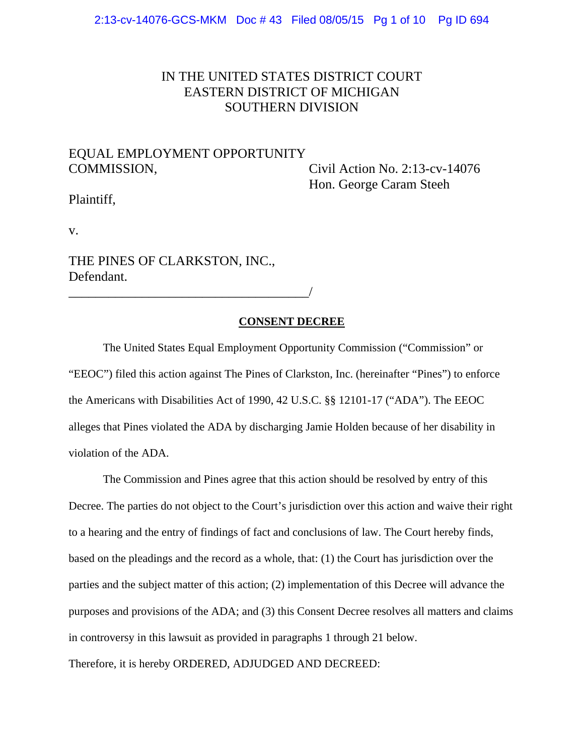# IN THE UNITED STATES DISTRICT COURT EASTERN DISTRICT OF MICHIGAN SOUTHERN DIVISION

# EQUAL EMPLOYMENT OPPORTUNITY COMMISSION, Civil Action No. 2:13-cv-14076

Hon. George Caram Steeh

Plaintiff,

v.

THE PINES OF CLARKSTON, INC., Defendant.

\_\_\_\_\_\_\_\_\_\_\_\_\_\_\_\_\_\_\_\_\_\_\_\_\_\_\_\_\_\_\_\_\_\_\_\_/

#### **CONSENT DECREE**

The United States Equal Employment Opportunity Commission ("Commission" or "EEOC") filed this action against The Pines of Clarkston, Inc. (hereinafter "Pines") to enforce the Americans with Disabilities Act of 1990, 42 U.S.C. §§ 12101-17 ("ADA"). The EEOC alleges that Pines violated the ADA by discharging Jamie Holden because of her disability in violation of the ADA.

The Commission and Pines agree that this action should be resolved by entry of this Decree. The parties do not object to the Court's jurisdiction over this action and waive their right to a hearing and the entry of findings of fact and conclusions of law. The Court hereby finds, based on the pleadings and the record as a whole, that: (1) the Court has jurisdiction over the parties and the subject matter of this action; (2) implementation of this Decree will advance the purposes and provisions of the ADA; and (3) this Consent Decree resolves all matters and claims in controversy in this lawsuit as provided in paragraphs 1 through 21 below. Therefore, it is hereby ORDERED, ADJUDGED AND DECREED: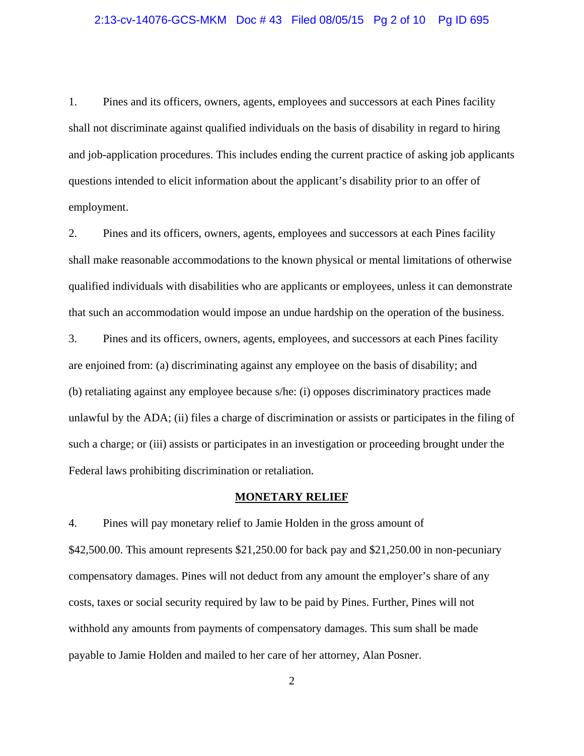### 2:13-cv-14076-GCS-MKM Doc # 43 Filed 08/05/15 Pg 2 of 10 Pg ID 695

1. Pines and its officers, owners, agents, employees and successors at each Pines facility shall not discriminate against qualified individuals on the basis of disability in regard to hiring and job-application procedures. This includes ending the current practice of asking job applicants questions intended to elicit information about the applicant's disability prior to an offer of employment.

2. Pines and its officers, owners, agents, employees and successors at each Pines facility shall make reasonable accommodations to the known physical or mental limitations of otherwise qualified individuals with disabilities who are applicants or employees, unless it can demonstrate that such an accommodation would impose an undue hardship on the operation of the business.

3. Pines and its officers, owners, agents, employees, and successors at each Pines facility are enjoined from: (a) discriminating against any employee on the basis of disability; and (b) retaliating against any employee because s/he: (i) opposes discriminatory practices made unlawful by the ADA; (ii) files a charge of discrimination or assists or participates in the filing of such a charge; or (iii) assists or participates in an investigation or proceeding brought under the Federal laws prohibiting discrimination or retaliation.

#### **MONETARY RELIEF**

4. Pines will pay monetary relief to Jamie Holden in the gross amount of \$42,500.00. This amount represents \$21,250.00 for back pay and \$21,250.00 in non-pecuniary compensatory damages. Pines will not deduct from any amount the employer's share of any costs, taxes or social security required by law to be paid by Pines. Further, Pines will not withhold any amounts from payments of compensatory damages. This sum shall be made payable to Jamie Holden and mailed to her care of her attorney, Alan Posner.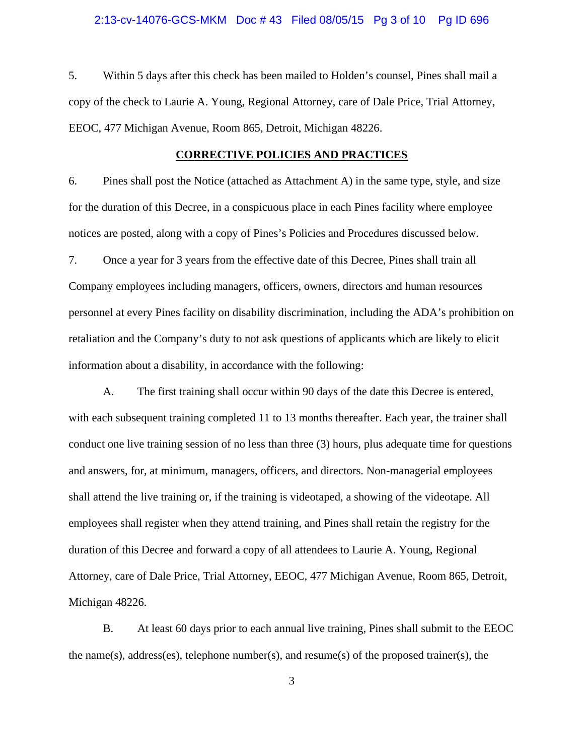5. Within 5 days after this check has been mailed to Holden's counsel, Pines shall mail a copy of the check to Laurie A. Young, Regional Attorney, care of Dale Price, Trial Attorney, EEOC, 477 Michigan Avenue, Room 865, Detroit, Michigan 48226.

#### **CORRECTIVE POLICIES AND PRACTICES**

6. Pines shall post the Notice (attached as Attachment A) in the same type, style, and size for the duration of this Decree, in a conspicuous place in each Pines facility where employee notices are posted, along with a copy of Pines's Policies and Procedures discussed below.

7. Once a year for 3 years from the effective date of this Decree, Pines shall train all Company employees including managers, officers, owners, directors and human resources personnel at every Pines facility on disability discrimination, including the ADA's prohibition on retaliation and the Company's duty to not ask questions of applicants which are likely to elicit information about a disability, in accordance with the following:

A. The first training shall occur within 90 days of the date this Decree is entered, with each subsequent training completed 11 to 13 months thereafter. Each year, the trainer shall conduct one live training session of no less than three (3) hours, plus adequate time for questions and answers, for, at minimum, managers, officers, and directors. Non-managerial employees shall attend the live training or, if the training is videotaped, a showing of the videotape. All employees shall register when they attend training, and Pines shall retain the registry for the duration of this Decree and forward a copy of all attendees to Laurie A. Young, Regional Attorney, care of Dale Price, Trial Attorney, EEOC, 477 Michigan Avenue, Room 865, Detroit, Michigan 48226.

B. At least 60 days prior to each annual live training, Pines shall submit to the EEOC the name(s), address(es), telephone number(s), and resume(s) of the proposed trainer(s), the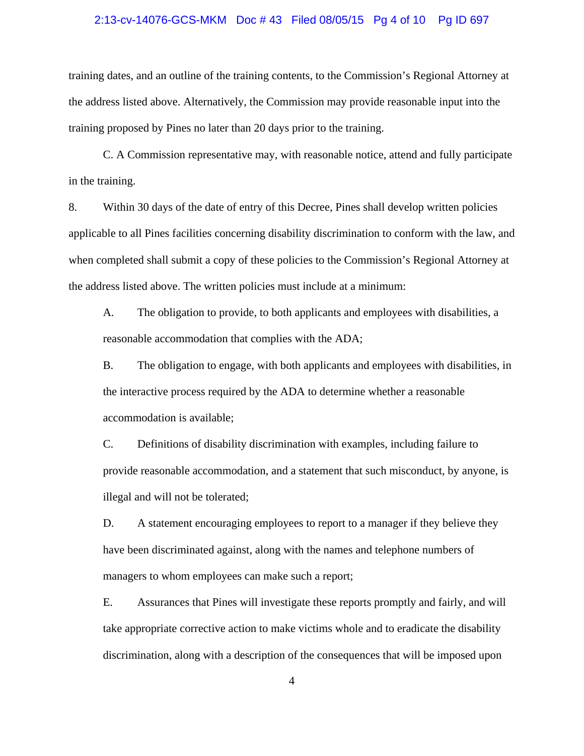#### 2:13-cv-14076-GCS-MKM Doc # 43 Filed 08/05/15 Pg 4 of 10 Pg ID 697

training dates, and an outline of the training contents, to the Commission's Regional Attorney at the address listed above. Alternatively, the Commission may provide reasonable input into the training proposed by Pines no later than 20 days prior to the training.

C. A Commission representative may, with reasonable notice, attend and fully participate in the training.

8. Within 30 days of the date of entry of this Decree, Pines shall develop written policies applicable to all Pines facilities concerning disability discrimination to conform with the law, and when completed shall submit a copy of these policies to the Commission's Regional Attorney at the address listed above. The written policies must include at a minimum:

A. The obligation to provide, to both applicants and employees with disabilities, a reasonable accommodation that complies with the ADA;

B. The obligation to engage, with both applicants and employees with disabilities, in the interactive process required by the ADA to determine whether a reasonable accommodation is available;

C. Definitions of disability discrimination with examples, including failure to provide reasonable accommodation, and a statement that such misconduct, by anyone, is illegal and will not be tolerated;

D. A statement encouraging employees to report to a manager if they believe they have been discriminated against, along with the names and telephone numbers of managers to whom employees can make such a report;

E. Assurances that Pines will investigate these reports promptly and fairly, and will take appropriate corrective action to make victims whole and to eradicate the disability discrimination, along with a description of the consequences that will be imposed upon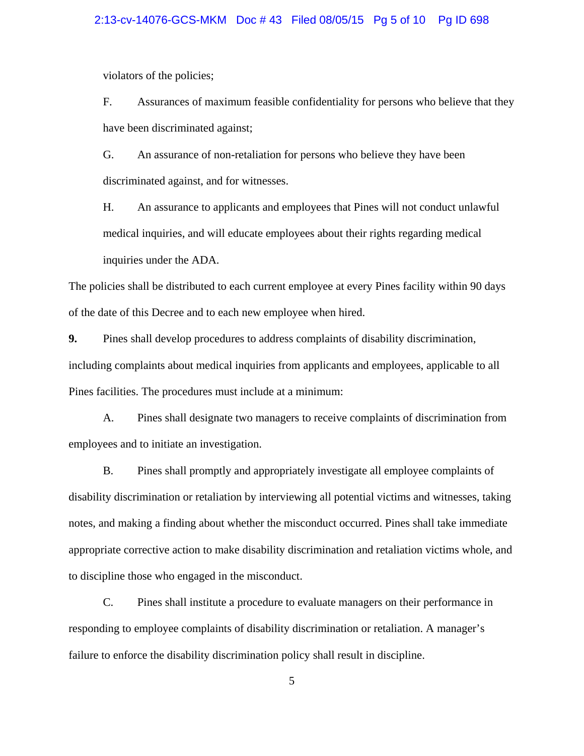#### 2:13-cv-14076-GCS-MKM Doc # 43 Filed 08/05/15 Pg 5 of 10 Pg ID 698

violators of the policies;

F. Assurances of maximum feasible confidentiality for persons who believe that they have been discriminated against;

G. An assurance of non-retaliation for persons who believe they have been discriminated against, and for witnesses.

H. An assurance to applicants and employees that Pines will not conduct unlawful medical inquiries, and will educate employees about their rights regarding medical inquiries under the ADA.

The policies shall be distributed to each current employee at every Pines facility within 90 days of the date of this Decree and to each new employee when hired.

**9.** Pines shall develop procedures to address complaints of disability discrimination, including complaints about medical inquiries from applicants and employees, applicable to all Pines facilities. The procedures must include at a minimum:

A. Pines shall designate two managers to receive complaints of discrimination from employees and to initiate an investigation.

B. Pines shall promptly and appropriately investigate all employee complaints of disability discrimination or retaliation by interviewing all potential victims and witnesses, taking notes, and making a finding about whether the misconduct occurred. Pines shall take immediate appropriate corrective action to make disability discrimination and retaliation victims whole, and to discipline those who engaged in the misconduct.

C. Pines shall institute a procedure to evaluate managers on their performance in responding to employee complaints of disability discrimination or retaliation. A manager's failure to enforce the disability discrimination policy shall result in discipline.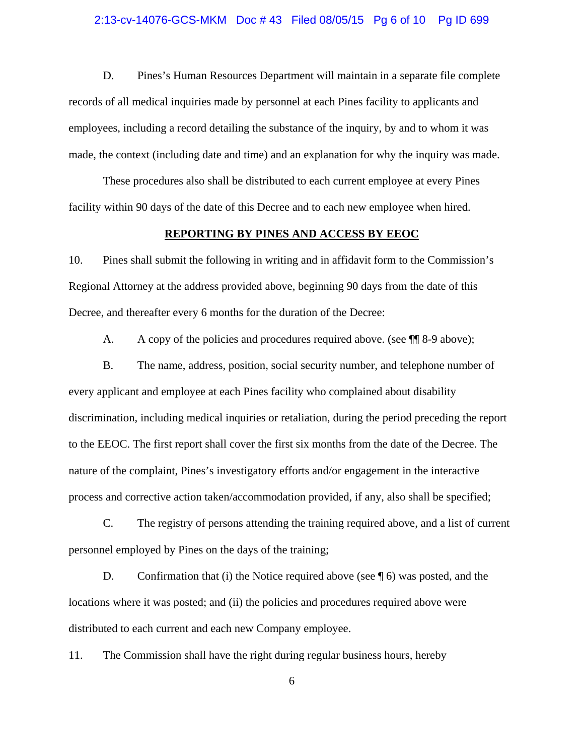#### 2:13-cv-14076-GCS-MKM Doc # 43 Filed 08/05/15 Pg 6 of 10 Pg ID 699

D. Pines's Human Resources Department will maintain in a separate file complete records of all medical inquiries made by personnel at each Pines facility to applicants and employees, including a record detailing the substance of the inquiry, by and to whom it was made, the context (including date and time) and an explanation for why the inquiry was made.

These procedures also shall be distributed to each current employee at every Pines facility within 90 days of the date of this Decree and to each new employee when hired.

#### **REPORTING BY PINES AND ACCESS BY EEOC**

10. Pines shall submit the following in writing and in affidavit form to the Commission's Regional Attorney at the address provided above, beginning 90 days from the date of this Decree, and thereafter every 6 months for the duration of the Decree:

A. A copy of the policies and procedures required above. (see  $\P$  8-9 above);

B. The name, address, position, social security number, and telephone number of every applicant and employee at each Pines facility who complained about disability discrimination, including medical inquiries or retaliation, during the period preceding the report to the EEOC. The first report shall cover the first six months from the date of the Decree. The nature of the complaint, Pines's investigatory efforts and/or engagement in the interactive process and corrective action taken/accommodation provided, if any, also shall be specified;

C. The registry of persons attending the training required above, and a list of current personnel employed by Pines on the days of the training;

D. Confirmation that (i) the Notice required above (see  $\P$  6) was posted, and the locations where it was posted; and (ii) the policies and procedures required above were distributed to each current and each new Company employee.

11. The Commission shall have the right during regular business hours, hereby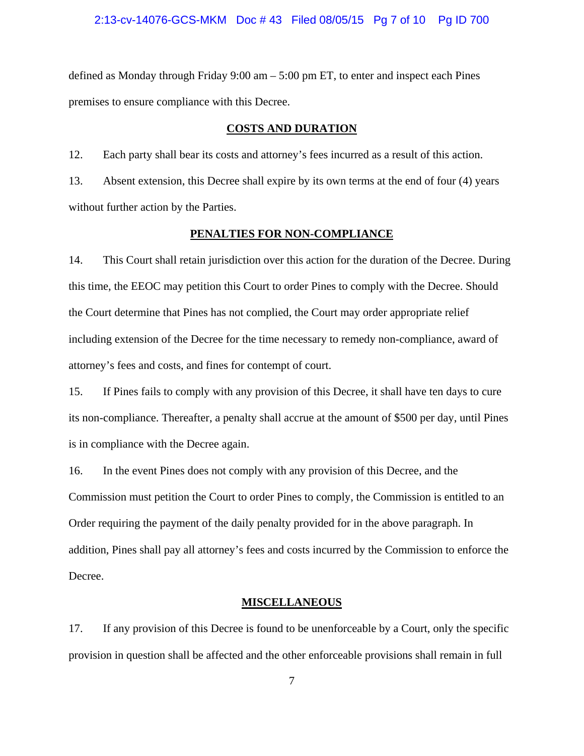defined as Monday through Friday 9:00 am – 5:00 pm ET, to enter and inspect each Pines premises to ensure compliance with this Decree.

#### **COSTS AND DURATION**

12. Each party shall bear its costs and attorney's fees incurred as a result of this action.

13. Absent extension, this Decree shall expire by its own terms at the end of four (4) years without further action by the Parties.

#### **PENALTIES FOR NON-COMPLIANCE**

14. This Court shall retain jurisdiction over this action for the duration of the Decree. During this time, the EEOC may petition this Court to order Pines to comply with the Decree. Should the Court determine that Pines has not complied, the Court may order appropriate relief including extension of the Decree for the time necessary to remedy non-compliance, award of attorney's fees and costs, and fines for contempt of court.

15. If Pines fails to comply with any provision of this Decree, it shall have ten days to cure its non-compliance. Thereafter, a penalty shall accrue at the amount of \$500 per day, until Pines is in compliance with the Decree again.

16. In the event Pines does not comply with any provision of this Decree, and the Commission must petition the Court to order Pines to comply, the Commission is entitled to an Order requiring the payment of the daily penalty provided for in the above paragraph. In addition, Pines shall pay all attorney's fees and costs incurred by the Commission to enforce the Decree.

#### **MISCELLANEOUS**

17. If any provision of this Decree is found to be unenforceable by a Court, only the specific provision in question shall be affected and the other enforceable provisions shall remain in full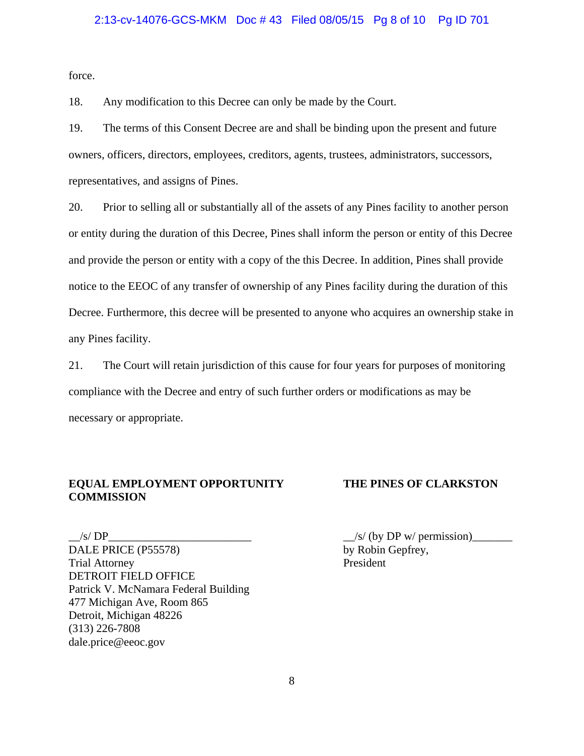#### 2:13-cv-14076-GCS-MKM Doc # 43 Filed 08/05/15 Pg 8 of 10 Pg ID 701

force.

18. Any modification to this Decree can only be made by the Court.

19. The terms of this Consent Decree are and shall be binding upon the present and future owners, officers, directors, employees, creditors, agents, trustees, administrators, successors, representatives, and assigns of Pines.

20. Prior to selling all or substantially all of the assets of any Pines facility to another person or entity during the duration of this Decree, Pines shall inform the person or entity of this Decree and provide the person or entity with a copy of the this Decree. In addition, Pines shall provide notice to the EEOC of any transfer of ownership of any Pines facility during the duration of this Decree. Furthermore, this decree will be presented to anyone who acquires an ownership stake in any Pines facility.

21. The Court will retain jurisdiction of this cause for four years for purposes of monitoring compliance with the Decree and entry of such further orders or modifications as may be necessary or appropriate.

#### **EQUAL EMPLOYMENT OPPORTUNITY THE PINES OF CLARKSTON COMMISSION**

DALE PRICE (P55578) by Robin Gepfrey, Trial Attorney President DETROIT FIELD OFFICE Patrick V. McNamara Federal Building 477 Michigan Ave, Room 865 Detroit, Michigan 48226 (313) 226-7808 dale.price@eeoc.gov

 $\angle$ s/ DP $\angle$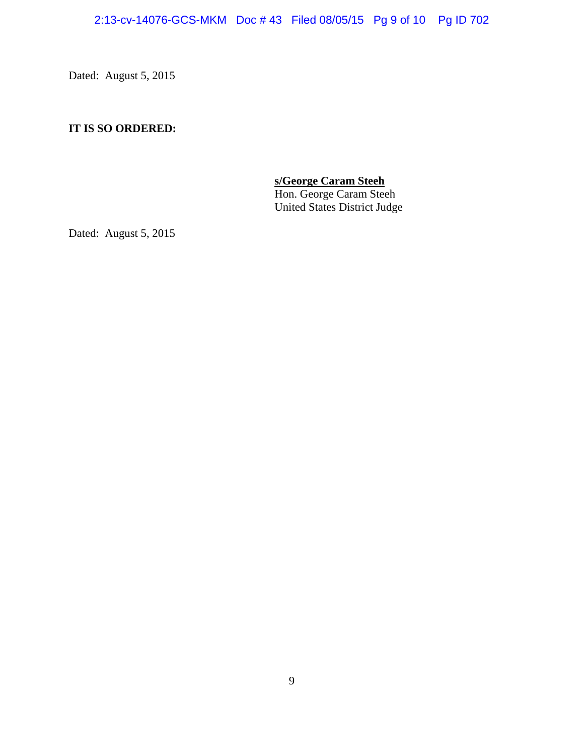Dated: August 5, 2015

## **IT IS SO ORDERED:**

**s/George Caram Steeh Property Constraints:** Hon. George Caram Steeh United States District Judge

Dated: August 5, 2015